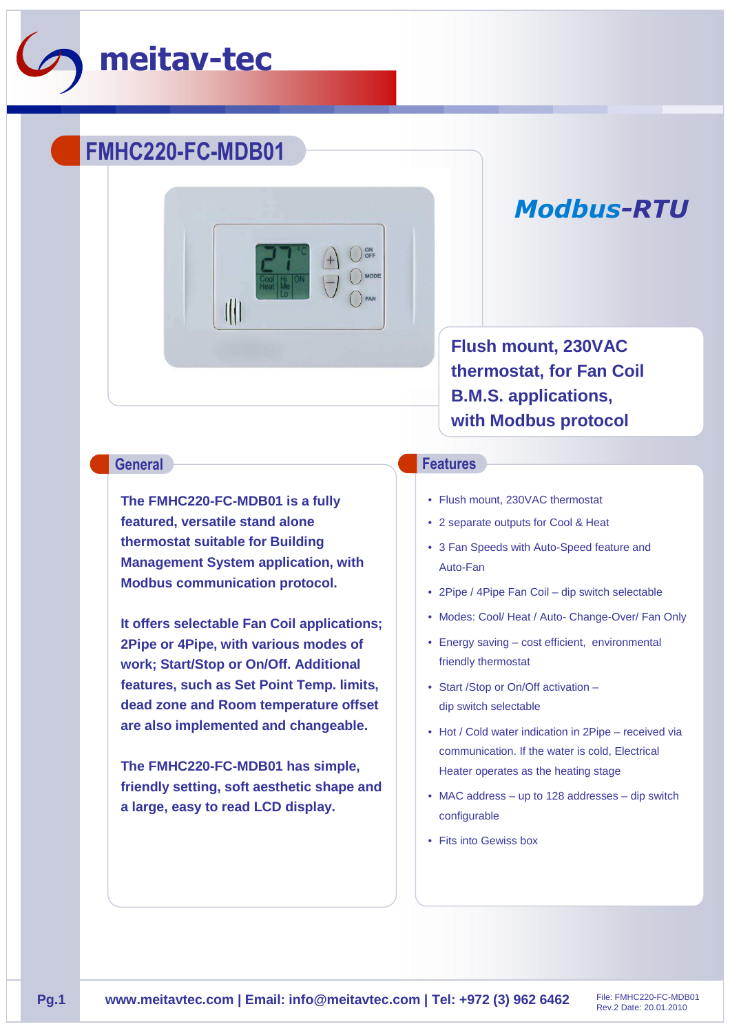

## **FMHC220-FC-MDB01**



# *Modbus-RTU*

**Flush mount, 230VAC thermostat, for Fan Coil B.M.S. applications, with Modbus protocol**

**The FMHC220-FC-MDB01 is a fully featured, versatile stand alone thermostat suitable for Building Management System application, with Modbus communication protocol.** 

**It offers selectable Fan Coil applications; 2Pipe or 4Pipe, with various modes of work; Start/Stop or On/Off. Additional features, such as Set Point Temp. limits, dead zone and Room temperature offset are also implemented and changeable.** 

**The FMHC220-FC-MDB01 has simple, friendly setting, soft aesthetic shape and a large, easy to read LCD display.**

### **General Features**

- Flush mount, 230VAC thermostat
- 2 separate outputs for Cool & Heat
- 3 Fan Speeds with Auto-Speed feature and Auto-Fan
- 2Pipe / 4Pipe Fan Coil dip switch selectable
- Modes: Cool/ Heat / Auto- Change-Over/ Fan Only
- Energy saving cost efficient, environmental friendly thermostat
- Start /Stop or On/Off activation dip switch selectable
- Hot / Cold water indication in 2Pipe received via communication. If the water is cold, Electrical Heater operates as the heating stage
- MAC address up to 128 addresses dip switch configurable
- Fits into Gewiss box

Rev.2 Date: 20.01.2010